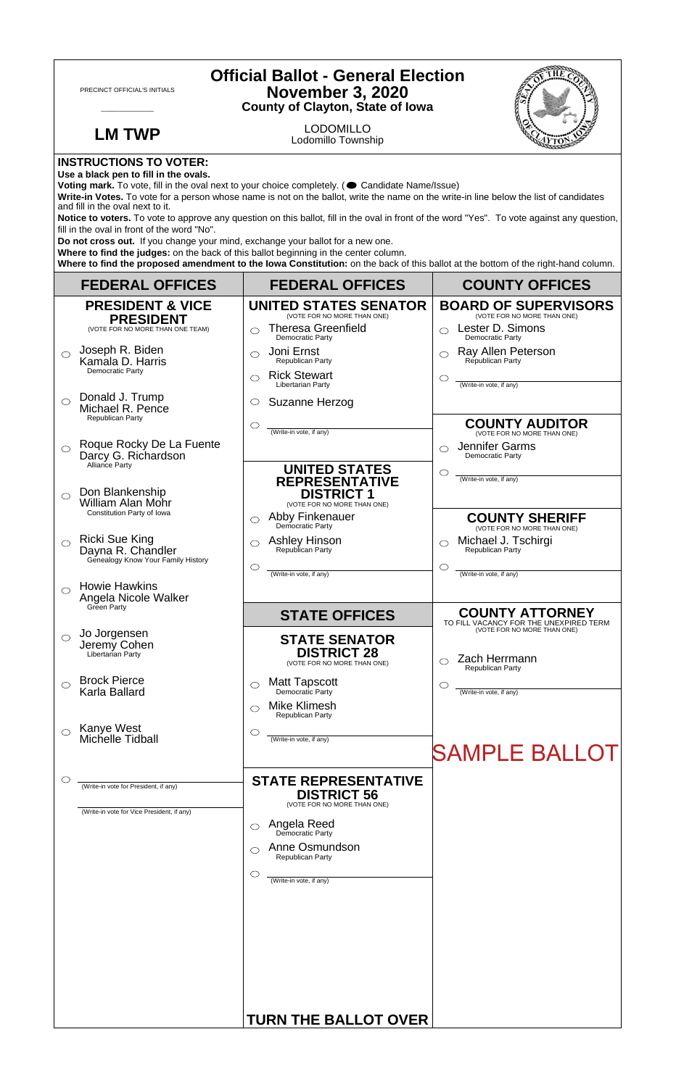| <b>Official Ballot - General Election</b><br><b>November 3, 2020</b><br>PRECINCT OFFICIAL'S INITIALS<br><b>County of Clayton, State of Iowa</b>                                                                                                                                                                                                                                                                                                                                                                                                                                                                                                                                                                                                                                                                                                                     |                                                                                     |                                                                                                                     |                                                                                                    |  |
|---------------------------------------------------------------------------------------------------------------------------------------------------------------------------------------------------------------------------------------------------------------------------------------------------------------------------------------------------------------------------------------------------------------------------------------------------------------------------------------------------------------------------------------------------------------------------------------------------------------------------------------------------------------------------------------------------------------------------------------------------------------------------------------------------------------------------------------------------------------------|-------------------------------------------------------------------------------------|---------------------------------------------------------------------------------------------------------------------|----------------------------------------------------------------------------------------------------|--|
|                                                                                                                                                                                                                                                                                                                                                                                                                                                                                                                                                                                                                                                                                                                                                                                                                                                                     | <b>LM TWP</b>                                                                       | <b>LODOMILLO</b><br>Lodomillo Township                                                                              |                                                                                                    |  |
| <b>INSTRUCTIONS TO VOTER:</b><br>Use a black pen to fill in the ovals.<br>Voting mark. To vote, fill in the oval next to your choice completely. (Condidate Name/Issue)<br>Write-in Votes. To vote for a person whose name is not on the ballot, write the name on the write-in line below the list of candidates<br>and fill in the oval next to it.<br>Notice to voters. To vote to approve any question on this ballot, fill in the oval in front of the word "Yes". To vote against any question,<br>fill in the oval in front of the word "No".<br>Do not cross out. If you change your mind, exchange your ballot for a new one.<br>Where to find the judges: on the back of this ballot beginning in the center column.<br>Where to find the proposed amendment to the lowa Constitution: on the back of this ballot at the bottom of the right-hand column. |                                                                                     |                                                                                                                     |                                                                                                    |  |
|                                                                                                                                                                                                                                                                                                                                                                                                                                                                                                                                                                                                                                                                                                                                                                                                                                                                     | <b>FEDERAL OFFICES</b>                                                              | <b>FEDERAL OFFICES</b>                                                                                              | <b>COUNTY OFFICES</b>                                                                              |  |
|                                                                                                                                                                                                                                                                                                                                                                                                                                                                                                                                                                                                                                                                                                                                                                                                                                                                     | <b>PRESIDENT &amp; VICE</b><br><b>PRESIDENT</b><br>(VOTE FOR NO MORE THAN ONE TEAM) | <b>UNITED STATES SENATOR</b><br>(VOTE FOR NO MORE THAN ONE)<br><b>Theresa Greenfield</b><br>⌒<br>Democratic Party   | <b>BOARD OF SUPERVISORS</b><br>(VOTE FOR NO MORE THAN ONE)<br>Lester D. Simons<br>Democratic Party |  |
| $\bigcirc$                                                                                                                                                                                                                                                                                                                                                                                                                                                                                                                                                                                                                                                                                                                                                                                                                                                          | Joseph R. Biden<br>Kamala D. Harris<br>Democratic Party                             | Joni Ernst<br>◯<br>Republican Party<br><b>Rick Stewart</b><br>◯<br>Libertarian Party                                | Ray Allen Peterson<br>Republican Party<br>C<br>(Write-in vote, if any)                             |  |
| $\bigcirc$                                                                                                                                                                                                                                                                                                                                                                                                                                                                                                                                                                                                                                                                                                                                                                                                                                                          | Donald J. Trump<br>Michael R. Pence<br>Republican Party                             | Suzanne Herzog<br>O<br>$\circlearrowright$<br>(Write-in vote, if any)                                               | <b>COUNTY AUDITOR</b>                                                                              |  |
| $\circlearrowright$                                                                                                                                                                                                                                                                                                                                                                                                                                                                                                                                                                                                                                                                                                                                                                                                                                                 | Roque Rocky De La Fuente<br>Darcy G. Richardson<br>Alliance Party                   | <b>UNITED STATES</b>                                                                                                | (VOTE FOR NO MORE THAN ONE)<br>Jennifer Garms<br>◯<br>Democratic Party<br>$\circlearrowright$      |  |
| ◯                                                                                                                                                                                                                                                                                                                                                                                                                                                                                                                                                                                                                                                                                                                                                                                                                                                                   | Don Blankenship<br><b>William Alan Mohr</b><br>Constitution Party of Iowa           | <b>REPRESENTATIVE</b><br><b>DISTRICT 1</b><br>(VOTE FOR NO MORE THAN ONE)<br>Abby Finkenauer<br>$\circlearrowright$ | (Write-in vote, if any)<br><b>COUNTY SHERIFF</b>                                                   |  |
| $\bigcirc$                                                                                                                                                                                                                                                                                                                                                                                                                                                                                                                                                                                                                                                                                                                                                                                                                                                          | Ricki Sue King<br>Dayna R. Chandler<br>Genealogy Know Your Family History           | Democratic Party<br><b>Ashley Hinson</b><br>◯<br>Republican Party<br>$\circlearrowright$                            | (VOTE FOR NO MORE THAN ONE)<br>Michael J. Tschirgi<br>◯<br>Republican Party<br>O                   |  |
|                                                                                                                                                                                                                                                                                                                                                                                                                                                                                                                                                                                                                                                                                                                                                                                                                                                                     | <b>Howie Hawkins</b><br>Angela Nicole Walker<br>Green Party                         | (Write-in vote, if any)<br><b>STATE OFFICES</b>                                                                     | (Write-in vote, if any)<br><b>COUNTY ATTORNEY</b>                                                  |  |
| ◯                                                                                                                                                                                                                                                                                                                                                                                                                                                                                                                                                                                                                                                                                                                                                                                                                                                                   | Jo Jorgensen<br>Jeremy Cohen<br>Libertarian Party                                   | <b>STATE SENATOR</b><br><b>DISTRICT 28</b><br>(VOTE FOR NO MORE THAN ONE)                                           | TO FILL VACANCY FOR THE UNEXPIRED TERM<br>(VOTE FOR NO MORE THAN ONE)<br>Zach Herrmann             |  |
| ◯                                                                                                                                                                                                                                                                                                                                                                                                                                                                                                                                                                                                                                                                                                                                                                                                                                                                   | <b>Brock Pierce</b><br>Karla Ballard                                                | <b>Matt Tapscott</b><br>O<br>Democratic Party<br><b>Mike Klimesh</b><br>⌒                                           | Republican Party<br>C<br>(Write-in vote, if any)                                                   |  |
| $\circ$                                                                                                                                                                                                                                                                                                                                                                                                                                                                                                                                                                                                                                                                                                                                                                                                                                                             | Kanye West<br>Michelle Tidball                                                      | Republican Party<br>$\circlearrowright$<br>(Write-in vote, if any)                                                  | <b>SAMPLE BALLOT</b>                                                                               |  |
| C                                                                                                                                                                                                                                                                                                                                                                                                                                                                                                                                                                                                                                                                                                                                                                                                                                                                   | (Write-in vote for President, if any)<br>(Write-in vote for Vice President, if any) | <b>STATE REPRESENTATIVE</b><br><b>DISTRICT 56</b><br>(VOTE FOR NO MORE THAN ONE)                                    |                                                                                                    |  |
|                                                                                                                                                                                                                                                                                                                                                                                                                                                                                                                                                                                                                                                                                                                                                                                                                                                                     |                                                                                     | Angela Reed<br>◯<br>Democratic Party<br>Anne Osmundson                                                              |                                                                                                    |  |
|                                                                                                                                                                                                                                                                                                                                                                                                                                                                                                                                                                                                                                                                                                                                                                                                                                                                     |                                                                                     | ⌒<br><b>Republican Party</b><br>$\circlearrowright$                                                                 |                                                                                                    |  |
|                                                                                                                                                                                                                                                                                                                                                                                                                                                                                                                                                                                                                                                                                                                                                                                                                                                                     |                                                                                     | (Write-in vote, if any)                                                                                             |                                                                                                    |  |
|                                                                                                                                                                                                                                                                                                                                                                                                                                                                                                                                                                                                                                                                                                                                                                                                                                                                     |                                                                                     | <b>TURN THE BALLOT OVER</b>                                                                                         |                                                                                                    |  |

 $\sqrt{ }$